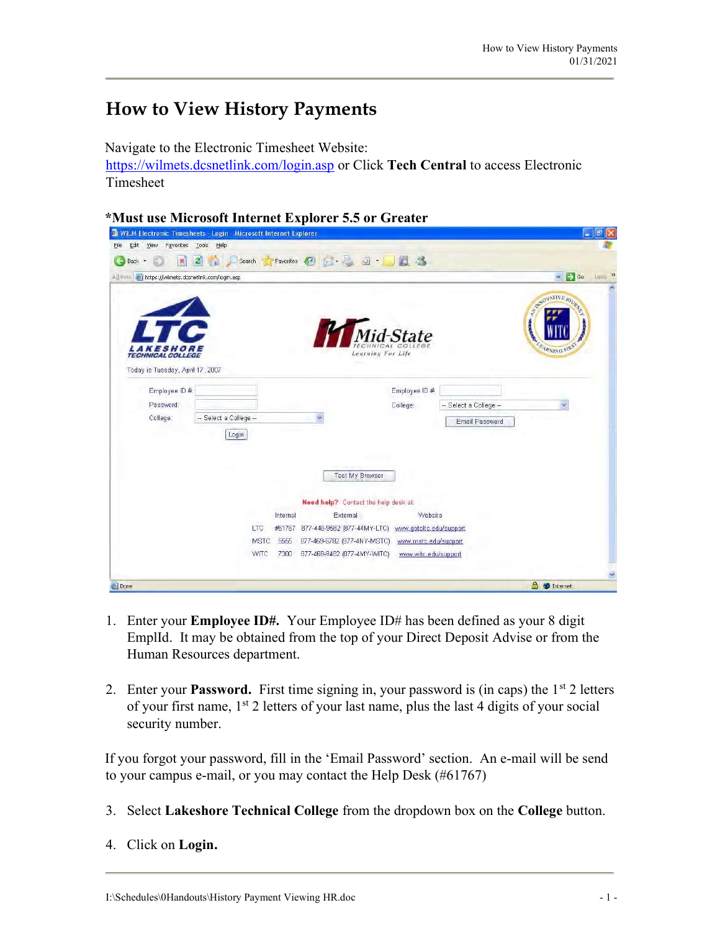## How to View History Payments

Navigate to the Electronic Timesheet Website: https://wilmets.dcsnetlink.com/login.asp or Click Tech Central to access Electronic Timesheet

\*Must use Microsoft Internet Explorer 5.5 or Greater

| WILM Electronic Timesheets - Login - Microsoft Internet Explorer<br>Edit<br>Favorites<br>View<br>File | <b>Tools</b><br>Help  |                       |                                                                |                         |                        | 'Û<br>÷.                                |
|-------------------------------------------------------------------------------------------------------|-----------------------|-----------------------|----------------------------------------------------------------|-------------------------|------------------------|-----------------------------------------|
| Back -                                                                                                |                       | Favorites (<br>Search | $\circledcirc$ $\circ$ $\circ$ $\circ$ $\circ$ $\circ$ $\circ$ |                         |                        |                                         |
|                                                                                                       |                       |                       |                                                                |                         |                        |                                         |
| Address <b>A</b> https://wilmets.dcsnetlink.com/login.asp                                             |                       |                       |                                                                |                         |                        | $\vee$ $\Box$ Go<br>Links >>            |
| <i><b>KESHORE</b></i><br><b>TECHNICAL COLLEGE</b><br>Today is Tuesday, April 17, 2007                 | e                     |                       | Learning For Life                                              | <b>Gid-State</b>        |                        | WWWONATIVE JOURN<br><b>TRNING FIRST</b> |
| Employee ID #                                                                                         |                       |                       |                                                                | Employee ID #           |                        |                                         |
| Password:                                                                                             |                       |                       |                                                                | College:                | -- Select a College -- |                                         |
| College:                                                                                              | - Select a College -- |                       | ÷.                                                             |                         | Email Password         |                                         |
|                                                                                                       | Login                 |                       | <b>Test My Browser</b><br>Need help? Contact the help desk at: |                         |                        |                                         |
|                                                                                                       |                       | Internal              | External                                                       | Website                 |                        |                                         |
|                                                                                                       |                       | LTC<br>#61767         | 877-446-9582 (877-44MY-LTC)                                    | www.gotoltc.edu/support |                        |                                         |
|                                                                                                       |                       | <b>MSTC</b><br>5555   | 877-469-6782 (877-4NY-MSTC)                                    | www.mstc.edu/support    |                        |                                         |
|                                                                                                       |                       | WITC<br>7300          | 877-469-9482 (877-4MY-VVITC)                                   | www.witc.edu/support    |                        |                                         |
|                                                                                                       |                       |                       |                                                                |                         |                        |                                         |
| <b>Done</b>                                                                                           |                       |                       |                                                                |                         |                        | $\triangleq$<br><b>D</b> Internet       |

- 1. Enter your Employee ID#. Your Employee ID# has been defined as your 8 digit EmplId. It may be obtained from the top of your Direct Deposit Advise or from the Human Resources department.
- 2. Enter your **Password.** First time signing in, your password is (in caps) the  $1<sup>st</sup>$  2 letters of your first name,  $1<sup>st</sup>$  2 letters of your last name, plus the last 4 digits of your social security number.

If you forgot your password, fill in the 'Email Password' section. An e-mail will be send to your campus e-mail, or you may contact the Help Desk (#61767)

- 3. Select Lakeshore Technical College from the dropdown box on the College button.
- 4. Click on Login.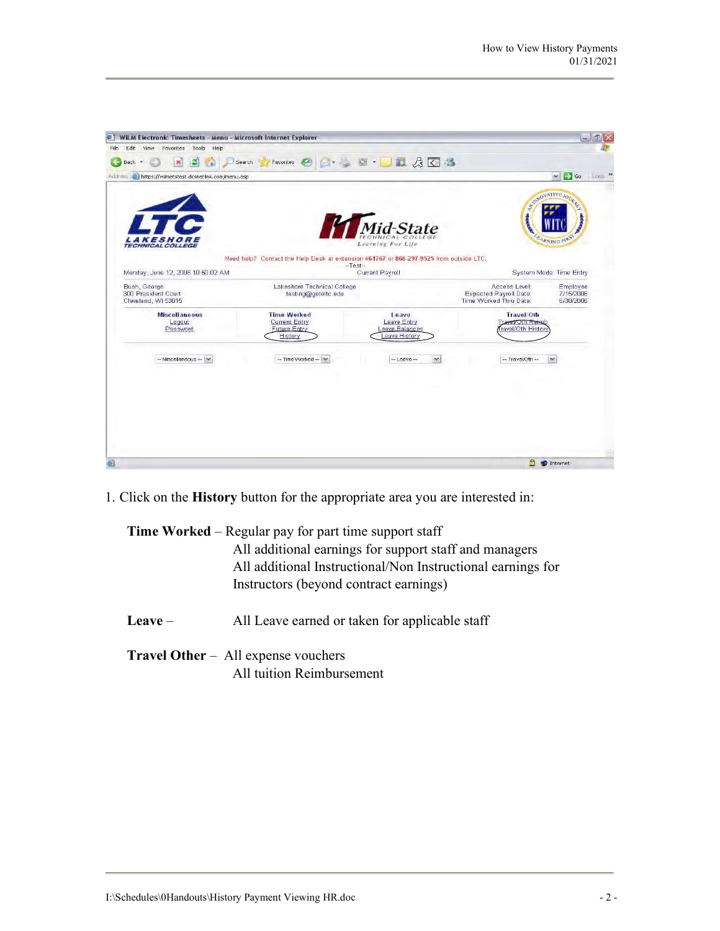| WILM Electronic Timesheets - Menu - Microsoft Internet Explorer<br>Edit View<br>Favorites<br>Tools<br>Help |                                                                                        |                                |                                                | 日 X<br>$-1$                         |
|------------------------------------------------------------------------------------------------------------|----------------------------------------------------------------------------------------|--------------------------------|------------------------------------------------|-------------------------------------|
| 레<br>Back +<br>$\mathbf{R}$                                                                                | Search                                                                                 | Favorites ② 2 卷 画 · D1 点 4 O 卷 |                                                |                                     |
| Address <b>a https://wilmetstest.dcsnetlink.com/menu.asp</b>                                               |                                                                                        |                                |                                                | Links >><br>$\vee$ $\rightarrow$ Go |
|                                                                                                            |                                                                                        |                                |                                                |                                     |
|                                                                                                            |                                                                                        |                                |                                                | STRONATIVE JOURN                    |
|                                                                                                            |                                                                                        |                                |                                                |                                     |
|                                                                                                            |                                                                                        | Mid-State                      |                                                |                                     |
| <b>KESHORE</b><br><b>TECHNICAL COLLEGE</b>                                                                 |                                                                                        | Learning For Life              |                                                | <b>ARNING FIRST</b>                 |
|                                                                                                            | Need help? Contact the Help Desk at extension #61767 or 866-297-9525 from outside LTC. |                                |                                                |                                     |
|                                                                                                            |                                                                                        | $-Test-$                       |                                                |                                     |
| Monday, June 12, 2006 10:50:02 AM                                                                          |                                                                                        | Current Payroll                |                                                | System Mode: Time Entry             |
| Bush, George<br>300 President Court                                                                        | Lakeshore Technical College<br>testing@gotoltc.edu                                     |                                | Access Level:<br><b>Expected Payroll Date:</b> | Employee<br>7/15/2006               |
| Cleveland, WI 53015                                                                                        |                                                                                        |                                | Time Worked Thru Date:                         | 6/30/2006                           |
| <b>Miscellaneous</b><br>Logout                                                                             | <b>Time Worked</b><br><b>Current Entry</b>                                             | Leave<br>Leave Entry           | Travel/Oth<br>Travel/Oth Reinab                |                                     |
| Password                                                                                                   | Future Entry                                                                           | Leave Balances<br>eave History | ravel/Oth History                              |                                     |
|                                                                                                            | History                                                                                |                                |                                                |                                     |
| -- Miscellaneous --   w                                                                                    | -- Time Worked -- M                                                                    | $\sim$<br>$-$ Leave $-$        | -- Travel/Oth --                               | ×                                   |
|                                                                                                            |                                                                                        |                                |                                                |                                     |
|                                                                                                            |                                                                                        |                                |                                                |                                     |
|                                                                                                            |                                                                                        |                                |                                                |                                     |
|                                                                                                            |                                                                                        |                                |                                                |                                     |
|                                                                                                            |                                                                                        |                                |                                                |                                     |
|                                                                                                            |                                                                                        |                                |                                                |                                     |
|                                                                                                            |                                                                                        |                                |                                                |                                     |
|                                                                                                            |                                                                                        |                                |                                                |                                     |
|                                                                                                            |                                                                                        |                                |                                                | A <b>O</b> Internet                 |

1. Click on the History button for the appropriate area you are interested in:

Time Worked – Regular pay for part time support staff All additional earnings for support staff and managers All additional Instructional/Non Instructional earnings for Instructors (beyond contract earnings)

- Leave All Leave earned or taken for applicable staff
- Travel Other All expense vouchers All tuition Reimbursement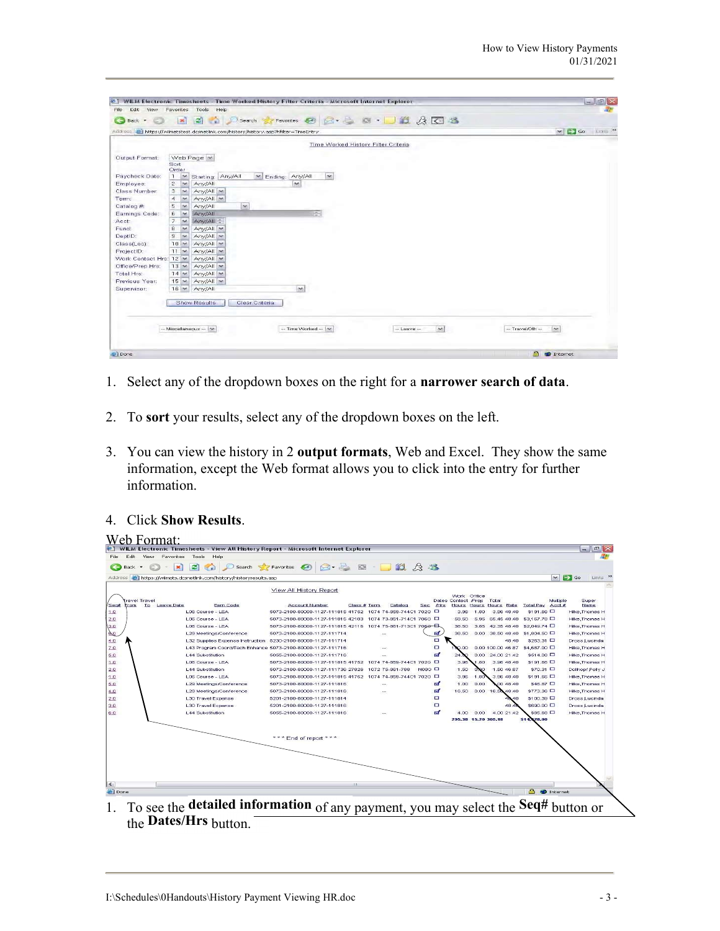| Help<br>Edit<br>View<br>Favorites<br>Tools<br>File<br>Search travorites ② B· B 回· 国政员区路<br>$\vert z \vert$<br>$\mathbf{R}$<br>œ<br>Back +<br>Ð<br>$\sim$ $\rightarrow$ Go<br>Address 21 https://wilmetstest.dcsnetlink.com/history/history.asp?hfilter=TimeEntry<br>Time Worked History Filter Criteria<br>Web Page   M<br>Output Format:<br>Sort<br>Order<br>Any/All<br>Paycheck Date:<br>$\mathbf{1}$<br>Starting: Any/All<br>$\blacktriangleright$ Ending:<br>N.<br>$\ddot{}$<br>$\mathbf{2}$<br>Any/All<br>Employee:<br>$\sim$<br>$\sim$<br>Class Number:<br>3<br>$\sim$<br>$Any/All \sim$<br>$Amy/All \sim$<br>$\overline{A}$<br>$\overline{\phantom{a}}$<br>Term:<br>$\overline{\mathbf{v}}$<br>Catalog #<br>5.<br>Any/All<br>$\sim$<br>吗<br>Any/All<br>Earnings Code:<br>6<br>$\sim$<br>7<br>$\sim$<br>Any/All =<br>Acct:<br>8<br>$Any/All \sim$<br>Fund:<br>$\overline{\phantom{a}}$<br>DeptID:<br>9<br>$Any/All \sim$<br>$\ddot{}$<br>$10 \times$<br>$Any/All \sim$<br>Class(Loc):<br>ProjectID:<br>$11 -$<br>$Any/All \sim$<br>Work Contact Hrs: 12<br>$Any/All \sim$<br>Office/Prep Hrs:<br>$13 -$<br>$Any/All \sim$<br>Total Hrs:<br>$14 -$<br>$Any/All \sim$<br>$15 \times$<br>Previous Year:<br>$Any/All \sim$<br>$\tilde{\phantom{a}}$<br>Any/All<br>Supervisor:<br>$16 -$<br><b>Show Results</b><br>Clear Criteria | $=$ $\mathbf{E} \times$ |
|------------------------------------------------------------------------------------------------------------------------------------------------------------------------------------------------------------------------------------------------------------------------------------------------------------------------------------------------------------------------------------------------------------------------------------------------------------------------------------------------------------------------------------------------------------------------------------------------------------------------------------------------------------------------------------------------------------------------------------------------------------------------------------------------------------------------------------------------------------------------------------------------------------------------------------------------------------------------------------------------------------------------------------------------------------------------------------------------------------------------------------------------------------------------------------------------------------------------------------------------------------------------------------------------------------------------------------|-------------------------|
|                                                                                                                                                                                                                                                                                                                                                                                                                                                                                                                                                                                                                                                                                                                                                                                                                                                                                                                                                                                                                                                                                                                                                                                                                                                                                                                                    |                         |
|                                                                                                                                                                                                                                                                                                                                                                                                                                                                                                                                                                                                                                                                                                                                                                                                                                                                                                                                                                                                                                                                                                                                                                                                                                                                                                                                    |                         |
|                                                                                                                                                                                                                                                                                                                                                                                                                                                                                                                                                                                                                                                                                                                                                                                                                                                                                                                                                                                                                                                                                                                                                                                                                                                                                                                                    |                         |
|                                                                                                                                                                                                                                                                                                                                                                                                                                                                                                                                                                                                                                                                                                                                                                                                                                                                                                                                                                                                                                                                                                                                                                                                                                                                                                                                    | Links >>                |
|                                                                                                                                                                                                                                                                                                                                                                                                                                                                                                                                                                                                                                                                                                                                                                                                                                                                                                                                                                                                                                                                                                                                                                                                                                                                                                                                    |                         |
|                                                                                                                                                                                                                                                                                                                                                                                                                                                                                                                                                                                                                                                                                                                                                                                                                                                                                                                                                                                                                                                                                                                                                                                                                                                                                                                                    |                         |
|                                                                                                                                                                                                                                                                                                                                                                                                                                                                                                                                                                                                                                                                                                                                                                                                                                                                                                                                                                                                                                                                                                                                                                                                                                                                                                                                    |                         |
|                                                                                                                                                                                                                                                                                                                                                                                                                                                                                                                                                                                                                                                                                                                                                                                                                                                                                                                                                                                                                                                                                                                                                                                                                                                                                                                                    |                         |
|                                                                                                                                                                                                                                                                                                                                                                                                                                                                                                                                                                                                                                                                                                                                                                                                                                                                                                                                                                                                                                                                                                                                                                                                                                                                                                                                    |                         |
|                                                                                                                                                                                                                                                                                                                                                                                                                                                                                                                                                                                                                                                                                                                                                                                                                                                                                                                                                                                                                                                                                                                                                                                                                                                                                                                                    |                         |
|                                                                                                                                                                                                                                                                                                                                                                                                                                                                                                                                                                                                                                                                                                                                                                                                                                                                                                                                                                                                                                                                                                                                                                                                                                                                                                                                    |                         |
|                                                                                                                                                                                                                                                                                                                                                                                                                                                                                                                                                                                                                                                                                                                                                                                                                                                                                                                                                                                                                                                                                                                                                                                                                                                                                                                                    |                         |
|                                                                                                                                                                                                                                                                                                                                                                                                                                                                                                                                                                                                                                                                                                                                                                                                                                                                                                                                                                                                                                                                                                                                                                                                                                                                                                                                    |                         |
|                                                                                                                                                                                                                                                                                                                                                                                                                                                                                                                                                                                                                                                                                                                                                                                                                                                                                                                                                                                                                                                                                                                                                                                                                                                                                                                                    |                         |
|                                                                                                                                                                                                                                                                                                                                                                                                                                                                                                                                                                                                                                                                                                                                                                                                                                                                                                                                                                                                                                                                                                                                                                                                                                                                                                                                    |                         |
|                                                                                                                                                                                                                                                                                                                                                                                                                                                                                                                                                                                                                                                                                                                                                                                                                                                                                                                                                                                                                                                                                                                                                                                                                                                                                                                                    |                         |
|                                                                                                                                                                                                                                                                                                                                                                                                                                                                                                                                                                                                                                                                                                                                                                                                                                                                                                                                                                                                                                                                                                                                                                                                                                                                                                                                    |                         |
|                                                                                                                                                                                                                                                                                                                                                                                                                                                                                                                                                                                                                                                                                                                                                                                                                                                                                                                                                                                                                                                                                                                                                                                                                                                                                                                                    |                         |
|                                                                                                                                                                                                                                                                                                                                                                                                                                                                                                                                                                                                                                                                                                                                                                                                                                                                                                                                                                                                                                                                                                                                                                                                                                                                                                                                    |                         |
|                                                                                                                                                                                                                                                                                                                                                                                                                                                                                                                                                                                                                                                                                                                                                                                                                                                                                                                                                                                                                                                                                                                                                                                                                                                                                                                                    |                         |
|                                                                                                                                                                                                                                                                                                                                                                                                                                                                                                                                                                                                                                                                                                                                                                                                                                                                                                                                                                                                                                                                                                                                                                                                                                                                                                                                    |                         |
|                                                                                                                                                                                                                                                                                                                                                                                                                                                                                                                                                                                                                                                                                                                                                                                                                                                                                                                                                                                                                                                                                                                                                                                                                                                                                                                                    |                         |
|                                                                                                                                                                                                                                                                                                                                                                                                                                                                                                                                                                                                                                                                                                                                                                                                                                                                                                                                                                                                                                                                                                                                                                                                                                                                                                                                    |                         |
|                                                                                                                                                                                                                                                                                                                                                                                                                                                                                                                                                                                                                                                                                                                                                                                                                                                                                                                                                                                                                                                                                                                                                                                                                                                                                                                                    |                         |
|                                                                                                                                                                                                                                                                                                                                                                                                                                                                                                                                                                                                                                                                                                                                                                                                                                                                                                                                                                                                                                                                                                                                                                                                                                                                                                                                    |                         |
|                                                                                                                                                                                                                                                                                                                                                                                                                                                                                                                                                                                                                                                                                                                                                                                                                                                                                                                                                                                                                                                                                                                                                                                                                                                                                                                                    |                         |
|                                                                                                                                                                                                                                                                                                                                                                                                                                                                                                                                                                                                                                                                                                                                                                                                                                                                                                                                                                                                                                                                                                                                                                                                                                                                                                                                    |                         |
|                                                                                                                                                                                                                                                                                                                                                                                                                                                                                                                                                                                                                                                                                                                                                                                                                                                                                                                                                                                                                                                                                                                                                                                                                                                                                                                                    |                         |
| $\sim$<br>-- Time Worked --<br>-- Travel/Oth --<br>-- Miscellaneous --<br>in the co<br>$\sim$<br>$-$ Leave $-$                                                                                                                                                                                                                                                                                                                                                                                                                                                                                                                                                                                                                                                                                                                                                                                                                                                                                                                                                                                                                                                                                                                                                                                                                     |                         |
|                                                                                                                                                                                                                                                                                                                                                                                                                                                                                                                                                                                                                                                                                                                                                                                                                                                                                                                                                                                                                                                                                                                                                                                                                                                                                                                                    |                         |
|                                                                                                                                                                                                                                                                                                                                                                                                                                                                                                                                                                                                                                                                                                                                                                                                                                                                                                                                                                                                                                                                                                                                                                                                                                                                                                                                    |                         |
| $\triangleq$<br><b>D</b> Internet<br><b>El Done</b>                                                                                                                                                                                                                                                                                                                                                                                                                                                                                                                                                                                                                                                                                                                                                                                                                                                                                                                                                                                                                                                                                                                                                                                                                                                                                |                         |

- 1. Select any of the dropdown boxes on the right for a narrower search of data.
- 2. To sort your results, select any of the dropdown boxes on the left.
- 3. You can view the history in 2 output formats, Web and Excel. They show the same information, except the Web format allows you to click into the entry for further information.

## 4. Click Show Results.

| Edit:<br><b>View</b><br>Favorites | Tools<br>Help                                                | WILM Electronic Timesheets - View All History Report - Microsoft Internet Explorer                       |                 |               |                     |       |                                |                                | $- 1 -$                                       |
|-----------------------------------|--------------------------------------------------------------|----------------------------------------------------------------------------------------------------------|-----------------|---------------|---------------------|-------|--------------------------------|--------------------------------|-----------------------------------------------|
|                                   |                                                              |                                                                                                          |                 |               |                     |       |                                |                                |                                               |
| $\mathbf{x}$<br>Back -            |                                                              | 2 6 Osearch *Favorites @ 2 - 3 8 - 12 3 3                                                                |                 |               |                     |       |                                |                                |                                               |
| Address                           | https://wilmets.dcsnetlink.com/history/historyresults.asp    |                                                                                                          |                 |               |                     |       |                                | $\sim$                         | $\Rightarrow$ Go<br>Links <sup>&gt;&gt;</sup> |
|                                   |                                                              | View All History Report                                                                                  |                 |               |                     |       |                                |                                |                                               |
|                                   |                                                              |                                                                                                          |                 |               | Work Office         |       |                                |                                |                                               |
| ravel Travel<br>Seg#              |                                                              |                                                                                                          |                 |               | Dates Contact /Prep |       | Total                          | Multiple                       | Super                                         |
| To:<br>Leave Date<br>From         | Earn Code<br>LOS Course - LEA                                | <b>Account Number</b><br>Class # Term<br>5073-2100-80000-1127-111815 41752 1074 74-859-744C1 702G $\Box$ | Catalog         | Sec.<br>Allrs | Hours<br>3.96       | 1.80  | Hours Hours Rate<br>3.96 48.40 | Total Pay Acct #<br>\$191.66 O | <b>Name</b><br>Hilke Thomas H                 |
|                                   | L06 Course - LEA                                             | 5073-2100-80000-1127-111815 42103 1074 73-851-714C1 706G D                                               |                 |               | 59.50               |       | 5.95 65.45 48.40               | \$3,167,78                     | Hilke, Thomas H                               |
|                                   | L06 Course - LEA                                             | 5073-2100-80000-1127-111815 42116 1074 75-861-713C1 7060-                                                |                 |               | 38.50               |       | 3.85 42.35 48.40               | \$2,049.74 □                   | Hilke, Thomas H                               |
|                                   | L29 Meetings/Conference                                      | 5073-2100-80000-1127-111714                                                                              | --              | $\mathbf{p}$  | 38.50               |       | 0.00 38.50 48.40               | \$1,804.50 □                   | Hilke, Thomas H                               |
|                                   | L32 Supplies Expense Instruction 5230-2100-80000-1127-111714 |                                                                                                          |                 | $\Box$        |                     |       | 48.40                          | \$263,31 □                     | Dross,Lucinda                                 |
|                                   | L43 Program Coord/Tech Enhance 5073-2100-80000-1127-111716   |                                                                                                          |                 | $\Box$        | 100.00              |       | 0.00 100.00 46.87              | \$4,687.00 □                   | Hilke, Thomas H                               |
|                                   | <b>L44 Substitution</b>                                      | 5055-2100-80000-1127-111716                                                                              |                 | ಡ             | 24.00               |       | $0.00$ 24.00 21.42             | \$514.08                       | Hilke, Thomas H                               |
|                                   | LOS Course - LEA                                             | 5073-2100-80000-1127-111815 41752 1074 74-859-744C1 702G D                                               |                 |               | 3.96                | 1.80  | 3.96 48.40                     | $$191.66$ $\square$            | Hilke.Thomas H                                |
|                                   | L44 Substitution                                             | 5073-2100-80000-1127-111736 27826                                                                        | 1072 75-861-788 | NOBG O        | 1.50                | 0.90. | 1.50 46.87                     | \$70.31 □                      | Dollhopf, Polly J                             |
|                                   | LOS Course - LEA                                             | 5073-2100-80000-1127-111815 41752 1074 74-859-744C1 702G D                                               |                 |               | 3.96                | 1.80  | 3.96 48.40                     | $$191.66$ $\Box$               | Hilke, Thomas H                               |
|                                   | L29 Meetings/Conference                                      | 5073-2100-80000-1127-111816                                                                              | <b>Color</b>    | ಡ             | 1.00                | 0.00  | 00 48.40                       | \$46.87 □                      | Hilke, Thomas H                               |
|                                   | L29 Meetings/Conference                                      | 5073-2100-80000-1127-111816                                                                              |                 | ಡ             | 16.50               |       | 0.00 16.50 48.40               | \$773.36 O                     | Hilke, Thomas H                               |
|                                   | L30 Travel Expense                                           | 5201-2100-80000-1127-111814                                                                              |                 | $\Box$        |                     |       | 48.40                          | \$100.39 □                     | Dross.Lucinda                                 |
|                                   | L30 Travel Expense                                           | 5201-2100-80000-1127-111816                                                                              |                 | $\Box$        |                     |       | 48.4                           | \$690.00 D                     | Dross.Lucinda                                 |
|                                   | L44 Substitution                                             | 5055-2100-80000-1127-111816                                                                              |                 | ಡ             | 4.00                | 0.00. | 4.00 21.42                     | \$85.68 D                      | Hilke, Thomas H                               |
|                                   |                                                              |                                                                                                          |                 |               | 295.38 15.20 305.18 |       |                                | \$14,828.00                    |                                               |
|                                   |                                                              |                                                                                                          |                 |               |                     |       |                                |                                |                                               |
|                                   |                                                              |                                                                                                          |                 |               |                     |       |                                |                                |                                               |
|                                   |                                                              | *** End of report ***                                                                                    |                 |               |                     |       |                                |                                |                                               |
|                                   |                                                              |                                                                                                          |                 |               |                     |       |                                |                                |                                               |
|                                   |                                                              |                                                                                                          |                 |               |                     |       |                                |                                |                                               |
|                                   |                                                              |                                                                                                          |                 |               |                     |       |                                |                                |                                               |
|                                   |                                                              |                                                                                                          |                 |               |                     |       |                                |                                |                                               |
|                                   |                                                              |                                                                                                          |                 |               |                     |       |                                |                                |                                               |
|                                   |                                                              | <b>HILL</b>                                                                                              |                 |               |                     |       |                                |                                |                                               |

1. To see the **detailed information** of any payment, you may select the Seq<sup>#</sup> button or the Dates/Hrs button.